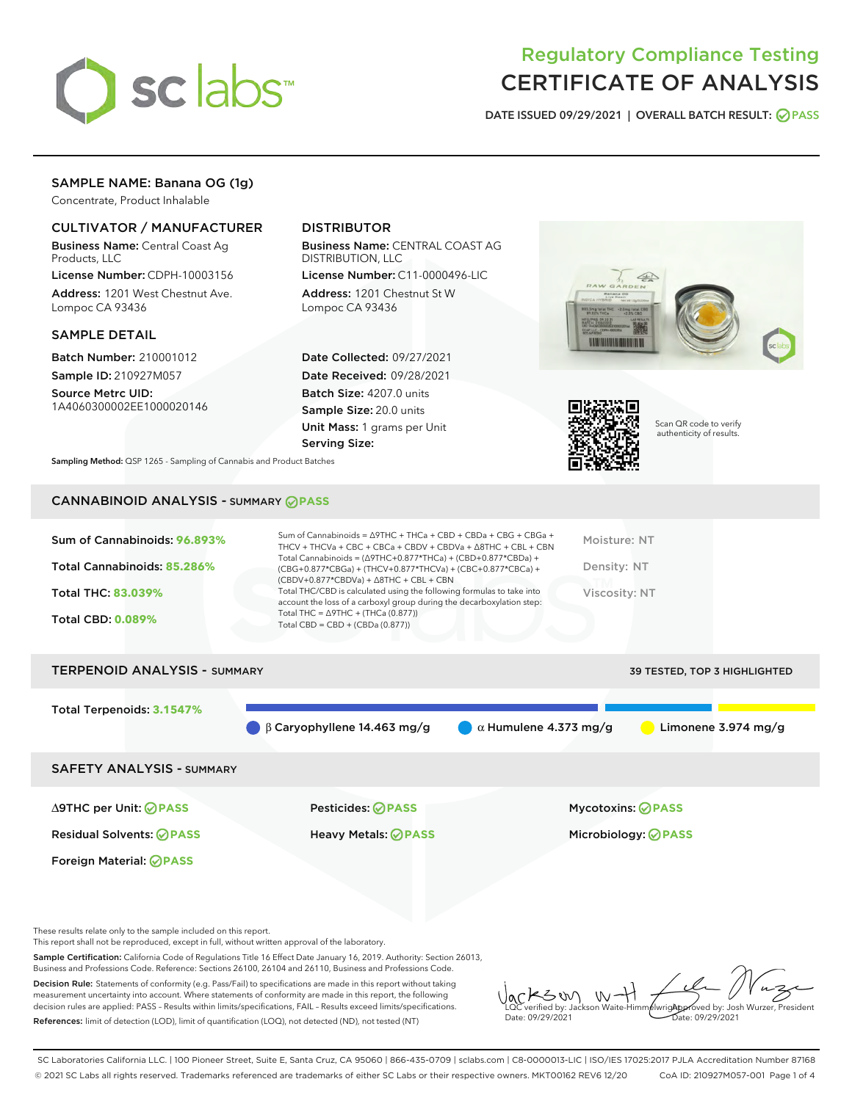

# Regulatory Compliance Testing CERTIFICATE OF ANALYSIS

DATE ISSUED 09/29/2021 | OVERALL BATCH RESULT: @ PASS

# SAMPLE NAME: Banana OG (1g)

Concentrate, Product Inhalable

# CULTIVATOR / MANUFACTURER

Business Name: Central Coast Ag Products, LLC

License Number: CDPH-10003156 Address: 1201 West Chestnut Ave. Lompoc CA 93436

### SAMPLE DETAIL

Batch Number: 210001012 Sample ID: 210927M057

Source Metrc UID: 1A4060300002EE1000020146

# DISTRIBUTOR

Business Name: CENTRAL COAST AG DISTRIBUTION, LLC

License Number: C11-0000496-LIC Address: 1201 Chestnut St W Lompoc CA 93436

Date Collected: 09/27/2021 Date Received: 09/28/2021 Batch Size: 4207.0 units Sample Size: 20.0 units Unit Mass: 1 grams per Unit Serving Size:





Scan QR code to verify authenticity of results.

Sampling Method: QSP 1265 - Sampling of Cannabis and Product Batches

# CANNABINOID ANALYSIS - SUMMARY **PASS**



| <b>TERPENOID ANALYSIS - SUMMARY</b> | 39 TESTED, TOP 3 HIGHLIGHTED                 |                              |                               |
|-------------------------------------|----------------------------------------------|------------------------------|-------------------------------|
| Total Terpenoids: 3.1547%           |                                              |                              |                               |
|                                     | $\bigcirc$ $\beta$ Caryophyllene 14.463 mg/g | $\alpha$ Humulene 4.373 mg/g | Limonene $3.974 \text{ mg/g}$ |
| <b>SAFETY ANALYSIS - SUMMARY</b>    |                                              |                              |                               |
|                                     |                                              |                              |                               |

Foreign Material: **PASS**

∆9THC per Unit: **PASS** Pesticides: **PASS** Mycotoxins: **PASS**

Residual Solvents: **PASS** Heavy Metals: **PASS** Microbiology: **PASS**

These results relate only to the sample included on this report.

This report shall not be reproduced, except in full, without written approval of the laboratory.

Sample Certification: California Code of Regulations Title 16 Effect Date January 16, 2019. Authority: Section 26013, Business and Professions Code. Reference: Sections 26100, 26104 and 26110, Business and Professions Code.

Decision Rule: Statements of conformity (e.g. Pass/Fail) to specifications are made in this report without taking measurement uncertainty into account. Where statements of conformity are made in this report, the following decision rules are applied: PASS – Results within limits/specifications, FAIL – Results exceed limits/specifications. References: limit of detection (LOD), limit of quantification (LOQ), not detected (ND), not tested (NT)

 $W + 1$ KSW Approved by: Josh Wurzer, President LQC verified by: Jackson Waite-Himmelwright Date: 09/29/2021 Date: 09/29/2021

SC Laboratories California LLC. | 100 Pioneer Street, Suite E, Santa Cruz, CA 95060 | 866-435-0709 | sclabs.com | C8-0000013-LIC | ISO/IES 17025:2017 PJLA Accreditation Number 87168 © 2021 SC Labs all rights reserved. Trademarks referenced are trademarks of either SC Labs or their respective owners. MKT00162 REV6 12/20 CoA ID: 210927M057-001 Page 1 of 4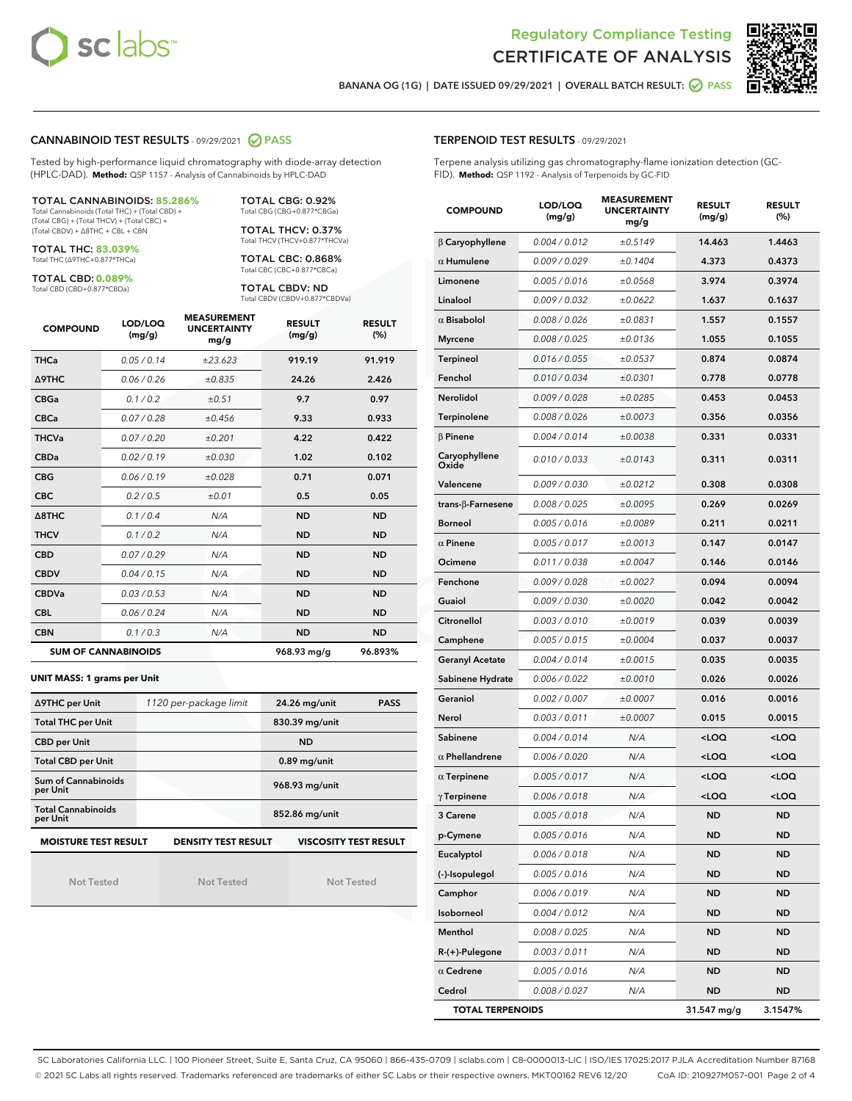



BANANA OG (1G) | DATE ISSUED 09/29/2021 | OVERALL BATCH RESULT: @ PASS

#### CANNABINOID TEST RESULTS - 09/29/2021 2 PASS

Tested by high-performance liquid chromatography with diode-array detection (HPLC-DAD). **Method:** QSP 1157 - Analysis of Cannabinoids by HPLC-DAD

TOTAL CANNABINOIDS: **85.286%** Total Cannabinoids (Total THC) + (Total CBD) + (Total CBG) + (Total THCV) + (Total CBC) + (Total CBDV) + ∆8THC + CBL + CBN

TOTAL THC: **83.039%**

Total THC (∆9THC+0.877\*THCa)

TOTAL CBD: **0.089%** Total CBD (CBD+0.877\*CBDa)

TOTAL CBG: 0.92% Total CBG (CBG+0.877\*CBGa) TOTAL THCV: 0.37% Total THCV (THCV+0.877\*THCVa)

TOTAL CBC: 0.868% Total CBC (CBC+0.877\*CBCa)

TOTAL CBDV: ND Total CBDV (CBDV+0.877\*CBDVa)

| <b>COMPOUND</b> | LOD/LOQ<br>(mg/g)          | <b>MEASUREMENT</b><br><b>UNCERTAINTY</b><br>mg/g | <b>RESULT</b><br>(mg/g) | <b>RESULT</b><br>(%) |
|-----------------|----------------------------|--------------------------------------------------|-------------------------|----------------------|
| <b>THCa</b>     | 0.05/0.14                  | ±23.623                                          | 919.19                  | 91.919               |
| <b>A9THC</b>    | 0.06 / 0.26                | ±0.835                                           | 24.26                   | 2.426                |
| <b>CBGa</b>     | 0.1 / 0.2                  | ±0.51                                            | 9.7                     | 0.97                 |
| <b>CBCa</b>     | 0.07/0.28                  | ±0.456                                           | 9.33                    | 0.933                |
| <b>THCVa</b>    | 0.07/0.20                  | ±0.201                                           | 4.22                    | 0.422                |
| <b>CBDa</b>     | 0.02/0.19                  | ±0.030                                           | 1.02                    | 0.102                |
| <b>CBG</b>      | 0.06/0.19                  | ±0.028                                           | 0.71                    | 0.071                |
| <b>CBC</b>      | 0.2 / 0.5                  | ±0.01                                            | 0.5                     | 0.05                 |
| A8THC           | 0.1/0.4                    | N/A                                              | <b>ND</b>               | <b>ND</b>            |
| <b>THCV</b>     | 0.1/0.2                    | N/A                                              | <b>ND</b>               | <b>ND</b>            |
| <b>CBD</b>      | 0.07/0.29                  | N/A                                              | <b>ND</b>               | <b>ND</b>            |
| <b>CBDV</b>     | 0.04 / 0.15                | N/A                                              | <b>ND</b>               | <b>ND</b>            |
| <b>CBDVa</b>    | 0.03/0.53                  | N/A                                              | <b>ND</b>               | <b>ND</b>            |
| <b>CBL</b>      | 0.06 / 0.24                | N/A                                              | <b>ND</b>               | <b>ND</b>            |
| <b>CBN</b>      | 0.1/0.3                    | N/A                                              | <b>ND</b>               | <b>ND</b>            |
|                 | <b>SUM OF CANNABINOIDS</b> |                                                  | 968.93 mg/g             | 96.893%              |

#### **UNIT MASS: 1 grams per Unit**

| ∆9THC per Unit                        | 1120 per-package limit     | 24.26 mg/unit<br><b>PASS</b> |
|---------------------------------------|----------------------------|------------------------------|
| <b>Total THC per Unit</b>             |                            | 830.39 mg/unit               |
| <b>CBD</b> per Unit                   |                            | <b>ND</b>                    |
| <b>Total CBD per Unit</b>             |                            | $0.89$ mg/unit               |
| Sum of Cannabinoids<br>per Unit       |                            | 968.93 mg/unit               |
| <b>Total Cannabinoids</b><br>per Unit |                            | 852.86 mg/unit               |
| <b>MOISTURE TEST RESULT</b>           | <b>DENSITY TEST RESULT</b> | <b>VISCOSITY TEST RESULT</b> |

Not Tested

Not Tested

Not Tested

| <b>TERPENOID TEST RESULTS - 09/29/2021</b> |  |
|--------------------------------------------|--|
|--------------------------------------------|--|

Terpene analysis utilizing gas chromatography-flame ionization detection (GC-FID). **Method:** QSP 1192 - Analysis of Terpenoids by GC-FID

| <b>COMPOUND</b>         | LOD/LOQ<br>(mg/g)    | <b>MEASUREMENT</b><br><b>UNCERTAINTY</b><br>mg/g | <b>RESULT</b><br>(mg/g)                         | <b>RESULT</b><br>(%) |
|-------------------------|----------------------|--------------------------------------------------|-------------------------------------------------|----------------------|
| $\beta$ Caryophyllene   | 0.004 / 0.012        | ±0.5149                                          | 14.463                                          | 1.4463               |
| $\alpha$ Humulene       | 0.009 / 0.029        | ±0.1404                                          | 4.373                                           | 0.4373               |
| Limonene                | 0.005 / 0.016        | ±0.0568                                          | 3.974                                           | 0.3974               |
| Linalool                | 0.009 / 0.032        | ±0.0622                                          | 1.637                                           | 0.1637               |
| $\alpha$ Bisabolol      | 0.008 / 0.026        | ±0.0831                                          | 1.557                                           | 0.1557               |
| <b>Myrcene</b>          | 0.008 / 0.025        | ±0.0136                                          | 1.055                                           | 0.1055               |
| <b>Terpineol</b>        | 0.016 / 0.055        | ±0.0537                                          | 0.874                                           | 0.0874               |
| Fenchol                 | 0.010 / 0.034        | ±0.0301                                          | 0.778                                           | 0.0778               |
| <b>Nerolidol</b>        | <i>0.009 / 0.028</i> | ±0.0285                                          | 0.453                                           | 0.0453               |
| Terpinolene             | 0.008 / 0.026        | ±0.0073                                          | 0.356                                           | 0.0356               |
| $\beta$ Pinene          | 0.004 / 0.014        | ±0.0038                                          | 0.331                                           | 0.0331               |
| Caryophyllene<br>Oxide  | 0.010 / 0.033        | ±0.0143                                          | 0.311                                           | 0.0311               |
| Valencene               | 0.009 / 0.030        | ±0.0212                                          | 0.308                                           | 0.0308               |
| trans-β-Farnesene       | 0.008 / 0.025        | ±0.0095                                          | 0.269                                           | 0.0269               |
| <b>Borneol</b>          | 0.005 / 0.016        | ±0.0089                                          | 0.211                                           | 0.0211               |
| $\alpha$ Pinene         | 0.005 / 0.017        | ±0.0013                                          | 0.147                                           | 0.0147               |
| Ocimene                 | 0.011 / 0.038        | ±0.0047                                          | 0.146                                           | 0.0146               |
| Fenchone                | 0.009 / 0.028        | ±0.0027                                          | 0.094                                           | 0.0094               |
| Guaiol                  | <i>0.009 / 0.030</i> | ±0.0020                                          | 0.042                                           | 0.0042               |
| Citronellol             | 0.003 / 0.010        | ±0.0019                                          | 0.039                                           | 0.0039               |
| Camphene                | 0.005 / 0.015        | ±0.0004                                          | 0.037                                           | 0.0037               |
| <b>Geranyl Acetate</b>  | 0.004 / 0.014        | ±0.0015                                          | 0.035                                           | 0.0035               |
| Sabinene Hydrate        | 0.006 / 0.022        | ±0.0010                                          | 0.026                                           | 0.0026               |
| Geraniol                | 0.002 / 0.007        | ±0.0007                                          | 0.016                                           | 0.0016               |
| Nerol                   | 0.003 / 0.011        | ±0.0007                                          | 0.015                                           | 0.0015               |
| Sabinene                | 0.004 / 0.014        | N/A                                              | <loq< th=""><th><loq< th=""></loq<></th></loq<> | <loq< th=""></loq<>  |
| $\alpha$ Phellandrene   | 0.006 / 0.020        | N/A                                              | <loq< th=""><th><loq< th=""></loq<></th></loq<> | <loq< th=""></loq<>  |
| $\alpha$ Terpinene      | 0.005 / 0.017        | N/A                                              | <loq< th=""><th><loq< th=""></loq<></th></loq<> | <loq< th=""></loq<>  |
| $\gamma$ Terpinene      | 0.006 / 0.018        | N/A                                              | <loq< th=""><th><loq< th=""></loq<></th></loq<> | <loq< th=""></loq<>  |
| 3 Carene                | 0.005 / 0.018        | N/A                                              | <b>ND</b>                                       | ND                   |
| p-Cymene                | 0.005 / 0.016        | N/A                                              | ND                                              | ND                   |
| Eucalyptol              | 0.006 / 0.018        | N/A                                              | <b>ND</b>                                       | ND                   |
| (-)-Isopulegol          | 0.005 / 0.016        | N/A                                              | <b>ND</b>                                       | ND                   |
| Camphor                 | 0.006 / 0.019        | N/A                                              | ND                                              | ND                   |
| Isoborneol              | 0.004 / 0.012        | N/A                                              | ND                                              | ND                   |
| Menthol                 | 0.008 / 0.025        | N/A                                              | <b>ND</b>                                       | ND                   |
| R-(+)-Pulegone          | 0.003 / 0.011        | N/A                                              | ND                                              | ND                   |
| $\alpha$ Cedrene        | 0.005 / 0.016        | N/A                                              | ND                                              | ND                   |
| Cedrol                  | 0.008 / 0.027        | N/A                                              | <b>ND</b>                                       | ND                   |
| <b>TOTAL TERPENOIDS</b> |                      |                                                  | 31.547 mg/g                                     | 3.1547%              |

SC Laboratories California LLC. | 100 Pioneer Street, Suite E, Santa Cruz, CA 95060 | 866-435-0709 | sclabs.com | C8-0000013-LIC | ISO/IES 17025:2017 PJLA Accreditation Number 87168 © 2021 SC Labs all rights reserved. Trademarks referenced are trademarks of either SC Labs or their respective owners. MKT00162 REV6 12/20 CoA ID: 210927M057-001 Page 2 of 4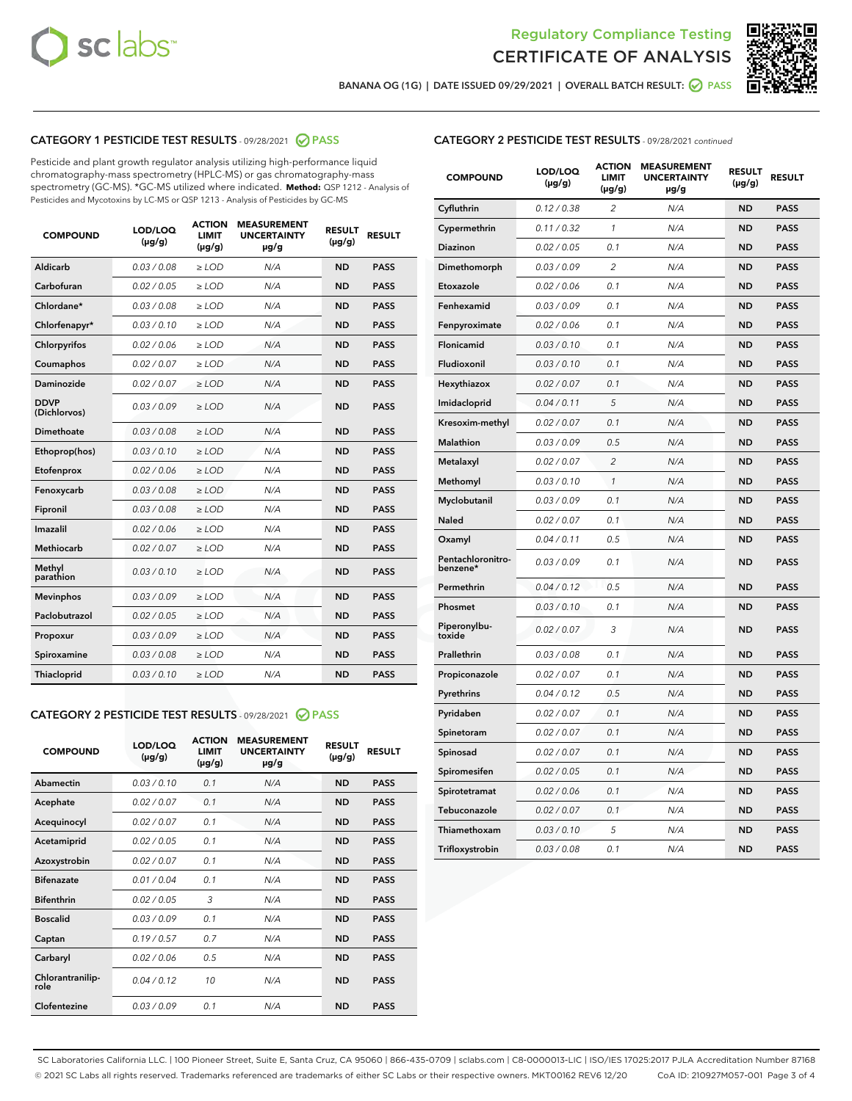



BANANA OG (1G) | DATE ISSUED 09/29/2021 | OVERALL BATCH RESULT: O PASS

# CATEGORY 1 PESTICIDE TEST RESULTS - 09/28/2021 2 PASS

Pesticide and plant growth regulator analysis utilizing high-performance liquid chromatography-mass spectrometry (HPLC-MS) or gas chromatography-mass spectrometry (GC-MS). \*GC-MS utilized where indicated. **Method:** QSP 1212 - Analysis of Pesticides and Mycotoxins by LC-MS or QSP 1213 - Analysis of Pesticides by GC-MS

| <b>COMPOUND</b>             | LOD/LOQ<br>$(\mu g/g)$ | <b>ACTION</b><br><b>LIMIT</b><br>$(\mu g/g)$ | <b>MEASUREMENT</b><br><b>UNCERTAINTY</b><br>$\mu$ g/g | <b>RESULT</b><br>$(\mu g/g)$ | <b>RESULT</b> |
|-----------------------------|------------------------|----------------------------------------------|-------------------------------------------------------|------------------------------|---------------|
| Aldicarb                    | 0.03 / 0.08            | $\ge$ LOD                                    | N/A                                                   | <b>ND</b>                    | <b>PASS</b>   |
| Carbofuran                  | 0.02 / 0.05            | $\ge$ LOD                                    | N/A                                                   | <b>ND</b>                    | <b>PASS</b>   |
| Chlordane*                  | 0.03 / 0.08            | $\ge$ LOD                                    | N/A                                                   | <b>ND</b>                    | <b>PASS</b>   |
| Chlorfenapyr*               | 0.03/0.10              | $\ge$ LOD                                    | N/A                                                   | <b>ND</b>                    | <b>PASS</b>   |
| Chlorpyrifos                | 0.02 / 0.06            | $>$ LOD                                      | N/A                                                   | <b>ND</b>                    | <b>PASS</b>   |
| Coumaphos                   | 0.02 / 0.07            | $\ge$ LOD                                    | N/A                                                   | <b>ND</b>                    | <b>PASS</b>   |
| Daminozide                  | 0.02/0.07              | $>$ LOD                                      | N/A                                                   | <b>ND</b>                    | <b>PASS</b>   |
| <b>DDVP</b><br>(Dichlorvos) | 0.03/0.09              | $\ge$ LOD                                    | N/A                                                   | <b>ND</b>                    | <b>PASS</b>   |
| <b>Dimethoate</b>           | 0.03/0.08              | $\ge$ LOD                                    | N/A                                                   | <b>ND</b>                    | <b>PASS</b>   |
| Ethoprop(hos)               | 0.03/0.10              | $\ge$ LOD                                    | N/A                                                   | <b>ND</b>                    | <b>PASS</b>   |
| Etofenprox                  | 0.02 / 0.06            | $\ge$ LOD                                    | N/A                                                   | <b>ND</b>                    | <b>PASS</b>   |
| Fenoxycarb                  | 0.03/0.08              | $\ge$ LOD                                    | N/A                                                   | <b>ND</b>                    | <b>PASS</b>   |
| Fipronil                    | 0.03 / 0.08            | $\ge$ LOD                                    | N/A                                                   | <b>ND</b>                    | <b>PASS</b>   |
| Imazalil                    | 0.02 / 0.06            | $>$ LOD                                      | N/A                                                   | <b>ND</b>                    | <b>PASS</b>   |
| <b>Methiocarb</b>           | 0.02 / 0.07            | $\ge$ LOD                                    | N/A                                                   | <b>ND</b>                    | <b>PASS</b>   |
| Methyl<br>parathion         | 0.03/0.10              | $\ge$ LOD                                    | N/A                                                   | <b>ND</b>                    | <b>PASS</b>   |
| <b>Mevinphos</b>            | 0.03/0.09              | $\ge$ LOD                                    | N/A                                                   | <b>ND</b>                    | <b>PASS</b>   |
| Paclobutrazol               | 0.02 / 0.05            | $\ge$ LOD                                    | N/A                                                   | <b>ND</b>                    | <b>PASS</b>   |
| Propoxur                    | 0.03/0.09              | $>$ LOD                                      | N/A                                                   | <b>ND</b>                    | <b>PASS</b>   |
| Spiroxamine                 | 0.03/0.08              | $\ge$ LOD                                    | N/A                                                   | <b>ND</b>                    | <b>PASS</b>   |
| Thiacloprid                 | 0.03/0.10              | $\ge$ LOD                                    | N/A                                                   | <b>ND</b>                    | <b>PASS</b>   |
|                             |                        |                                              |                                                       |                              |               |

# CATEGORY 2 PESTICIDE TEST RESULTS - 09/28/2021 @ PASS

| <b>COMPOUND</b>          | LOD/LOQ<br>$(\mu g/g)$ | <b>ACTION</b><br>LIMIT<br>$(\mu g/g)$ | <b>MEASUREMENT</b><br><b>UNCERTAINTY</b><br>$\mu$ g/g | <b>RESULT</b><br>$(\mu g/g)$ | <b>RESULT</b> |
|--------------------------|------------------------|---------------------------------------|-------------------------------------------------------|------------------------------|---------------|
| Abamectin                | 0.03/0.10              | 0.1                                   | N/A                                                   | <b>ND</b>                    | <b>PASS</b>   |
| Acephate                 | 0.02/0.07              | 0.1                                   | N/A                                                   | <b>ND</b>                    | <b>PASS</b>   |
| Acequinocyl              | 0.02/0.07              | 0.1                                   | N/A                                                   | <b>ND</b>                    | <b>PASS</b>   |
| Acetamiprid              | 0.02 / 0.05            | 0.1                                   | N/A                                                   | <b>ND</b>                    | <b>PASS</b>   |
| Azoxystrobin             | 0.02/0.07              | 0.1                                   | N/A                                                   | <b>ND</b>                    | <b>PASS</b>   |
| <b>Bifenazate</b>        | 0.01/0.04              | 0.1                                   | N/A                                                   | <b>ND</b>                    | <b>PASS</b>   |
| <b>Bifenthrin</b>        | 0.02 / 0.05            | 3                                     | N/A                                                   | <b>ND</b>                    | <b>PASS</b>   |
| <b>Boscalid</b>          | 0.03/0.09              | 0.1                                   | N/A                                                   | <b>ND</b>                    | <b>PASS</b>   |
| Captan                   | 0.19/0.57              | 0.7                                   | N/A                                                   | <b>ND</b>                    | <b>PASS</b>   |
| Carbaryl                 | 0.02/0.06              | 0.5                                   | N/A                                                   | <b>ND</b>                    | <b>PASS</b>   |
| Chlorantranilip-<br>role | 0.04/0.12              | 10                                    | N/A                                                   | <b>ND</b>                    | <b>PASS</b>   |
| Clofentezine             | 0.03/0.09              | 0.1                                   | N/A                                                   | <b>ND</b>                    | <b>PASS</b>   |

# CATEGORY 2 PESTICIDE TEST RESULTS - 09/28/2021 continued

| <b>COMPOUND</b>               | LOD/LOQ<br>(µg/g) | <b>ACTION</b><br><b>LIMIT</b><br>$(\mu g/g)$ | <b>MEASUREMENT</b><br><b>UNCERTAINTY</b><br>µg/g | <b>RESULT</b><br>(µg/g) | <b>RESULT</b> |
|-------------------------------|-------------------|----------------------------------------------|--------------------------------------------------|-------------------------|---------------|
| Cyfluthrin                    | 0.12 / 0.38       | $\overline{2}$                               | N/A                                              | <b>ND</b>               | <b>PASS</b>   |
| Cypermethrin                  | 0.11 / 0.32       | 1                                            | N/A                                              | <b>ND</b>               | <b>PASS</b>   |
| Diazinon                      | 0.02 / 0.05       | 0.1                                          | N/A                                              | <b>ND</b>               | <b>PASS</b>   |
| Dimethomorph                  | 0.03 / 0.09       | 2                                            | N/A                                              | <b>ND</b>               | <b>PASS</b>   |
| Etoxazole                     | 0.02 / 0.06       | 0.1                                          | N/A                                              | <b>ND</b>               | <b>PASS</b>   |
| Fenhexamid                    | 0.03 / 0.09       | 0.1                                          | N/A                                              | <b>ND</b>               | <b>PASS</b>   |
| Fenpyroximate                 | 0.02 / 0.06       | 0.1                                          | N/A                                              | <b>ND</b>               | <b>PASS</b>   |
| <b>Flonicamid</b>             | 0.03 / 0.10       | 0.1                                          | N/A                                              | <b>ND</b>               | <b>PASS</b>   |
| Fludioxonil                   | 0.03 / 0.10       | 0.1                                          | N/A                                              | <b>ND</b>               | <b>PASS</b>   |
| Hexythiazox                   | 0.02 / 0.07       | 0.1                                          | N/A                                              | <b>ND</b>               | <b>PASS</b>   |
| Imidacloprid                  | 0.04 / 0.11       | 5                                            | N/A                                              | <b>ND</b>               | <b>PASS</b>   |
| Kresoxim-methyl               | 0.02 / 0.07       | 0.1                                          | N/A                                              | <b>ND</b>               | <b>PASS</b>   |
| <b>Malathion</b>              | 0.03 / 0.09       | 0.5                                          | N/A                                              | <b>ND</b>               | <b>PASS</b>   |
| Metalaxyl                     | 0.02 / 0.07       | $\overline{2}$                               | N/A                                              | <b>ND</b>               | <b>PASS</b>   |
| Methomyl                      | 0.03 / 0.10       | $\mathbf{1}$                                 | N/A                                              | <b>ND</b>               | <b>PASS</b>   |
| Myclobutanil                  | 0.03 / 0.09       | 0.1                                          | N/A                                              | <b>ND</b>               | <b>PASS</b>   |
| Naled                         | 0.02 / 0.07       | 0.1                                          | N/A                                              | <b>ND</b>               | <b>PASS</b>   |
| Oxamyl                        | 0.04 / 0.11       | 0.5                                          | N/A                                              | <b>ND</b>               | <b>PASS</b>   |
| Pentachloronitro-<br>benzene* | 0.03 / 0.09       | 0.1                                          | N/A                                              | <b>ND</b>               | <b>PASS</b>   |
| Permethrin                    | 0.04 / 0.12       | 0.5                                          | N/A                                              | <b>ND</b>               | <b>PASS</b>   |
| Phosmet                       | 0.03 / 0.10       | 0.1                                          | N/A                                              | <b>ND</b>               | <b>PASS</b>   |
| Piperonylbu-<br>toxide        | 0.02 / 0.07       | 3                                            | N/A                                              | <b>ND</b>               | <b>PASS</b>   |
| Prallethrin                   | 0.03 / 0.08       | 0.1                                          | N/A                                              | <b>ND</b>               | <b>PASS</b>   |
| Propiconazole                 | 0.02 / 0.07       | 0.1                                          | N/A                                              | <b>ND</b>               | <b>PASS</b>   |
| Pyrethrins                    | 0.04 / 0.12       | 0.5                                          | N/A                                              | <b>ND</b>               | <b>PASS</b>   |
| Pyridaben                     | 0.02 / 0.07       | 0.1                                          | N/A                                              | <b>ND</b>               | <b>PASS</b>   |
| Spinetoram                    | 0.02 / 0.07       | 0.1                                          | N/A                                              | <b>ND</b>               | <b>PASS</b>   |
| Spinosad                      | 0.02 / 0.07       | 0.1                                          | N/A                                              | <b>ND</b>               | <b>PASS</b>   |
| Spiromesifen                  | 0.02 / 0.05       | 0.1                                          | N/A                                              | <b>ND</b>               | <b>PASS</b>   |
| Spirotetramat                 | 0.02 / 0.06       | 0.1                                          | N/A                                              | <b>ND</b>               | <b>PASS</b>   |
| Tebuconazole                  | 0.02 / 0.07       | 0.1                                          | N/A                                              | <b>ND</b>               | <b>PASS</b>   |
| Thiamethoxam                  | 0.03 / 0.10       | 5                                            | N/A                                              | <b>ND</b>               | <b>PASS</b>   |
| Trifloxystrobin               | 0.03 / 0.08       | 0.1                                          | N/A                                              | <b>ND</b>               | <b>PASS</b>   |

SC Laboratories California LLC. | 100 Pioneer Street, Suite E, Santa Cruz, CA 95060 | 866-435-0709 | sclabs.com | C8-0000013-LIC | ISO/IES 17025:2017 PJLA Accreditation Number 87168 © 2021 SC Labs all rights reserved. Trademarks referenced are trademarks of either SC Labs or their respective owners. MKT00162 REV6 12/20 CoA ID: 210927M057-001 Page 3 of 4